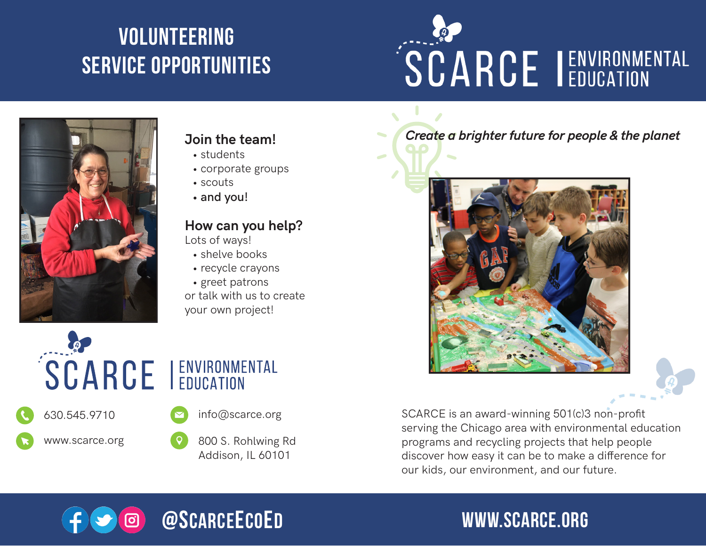# volunteering service opportunities

# SCARCE I ENVIRONMENTAL



### **Join the team!**

- students
- corporate groups
- scouts
- **• and you!**

#### **How can you help?**

Lots of ways!

- shelve books
- recycle crayons
- greet patrons

or talk with us to create your own project!



*Create a brighter future for people & the planet*



SCARCE is an award-winning 501(c)3 non-profit serving the Chicago area with environmental education programs and recycling projects that help people discover how easy it can be to make a difference for our kids, our environment, and our future.



# www.scarce.org